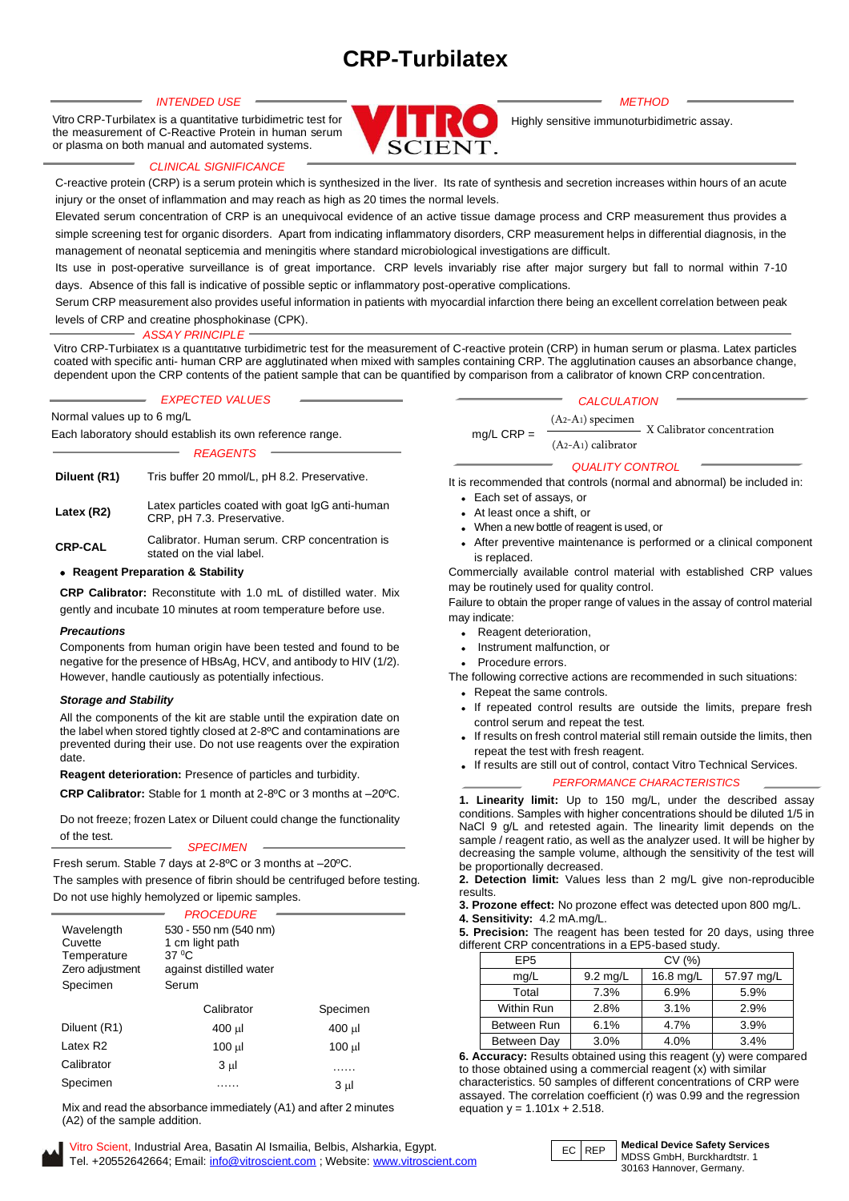# **CRP-Turbilatex**

Vitro CRP-Turbilatex is a quantitative turbidimetric test for the measurement of C-Reactive Protein in human serum or plasma on both manual and automated systems.



Highly sensitive immunoturbidimetric assay.

# *CLINICAL SIGNIFICANCE*

C-reactive protein (CRP) is a serum protein which is synthesized in the liver. Its rate of synthesis and secretion increases within hours of an acute injury or the onset of inflammation and may reach as high as 20 times the normal levels.

Elevated serum concentration of CRP is an unequivocal evidence of an active tissue damage process and CRP measurement thus provides a simple screening test for organic disorders. Apart from indicating inflammatory disorders, CRP measurement helps in differential diagnosis, in the management of neonatal septicemia and meningitis where standard microbiological investigations are difficult.

Its use in post-operative surveillance is of great importance. CRP levels invariably rise after major surgery but fall to normal within 7-10 days. Absence of this fall is indicative of possible septic or inflammatory post-operative complications.

Serum CRP measurement also provides useful information in patients with myocardial infarction there being an excellent correlation between peak levels of CRP and creatine phosphokinase (CPK).

# *ASSAY PRINCIPLE*

Vitro CRP-Turbilatex is a quantitative turbidimetric test for the measurement of C-reactive protein (CRP) in human serum or plasma. Latex particles coated with specific anti- human CRP are agglutinated when mixed with samples containing CRP. The agglutination causes an absorbance change, dependent upon the CRP contents of the patient sample that can be quantified by comparison from a calibrator of known CRP concentration.

|                            | <b>EXPECTED VALUES</b> |
|----------------------------|------------------------|
| Normal values up to 6 mg/L |                        |

Each laboratory should establish its own reference range.

*REAGENTS*

| Diluent (R1)   | Tris buffer 20 mmol/L, pH 8.2. Preservative.                                  |
|----------------|-------------------------------------------------------------------------------|
| Latex (R2)     | Latex particles coated with goat IgG anti-human<br>CRP, pH 7.3. Preservative. |
| <b>CRP-CAL</b> | Calibrator. Human serum. CRP concentration is<br>stated on the vial label.    |

# • **Reagent Preparation & Stability**

**CRP Calibrator:** Reconstitute with 1.0 mL of distilled water. Mix gently and incubate 10 minutes at room temperature before use.

# *Precautions*

Components from human origin have been tested and found to be negative for the presence of HBsAg, HCV, and antibody to HIV (1/2). However, handle cautiously as potentially infectious.

# *Storage and Stability*

All the components of the kit are stable until the expiration date on the label when stored tightly closed at 2-8ºC and contaminations are prevented during their use. Do not use reagents over the expiration date.

**Reagent deterioration:** Presence of particles and turbidity.

**CRP Calibrator:** Stable for 1 month at 2-8ºC or 3 months at –20ºC.

Do not freeze; frozen Latex or Diluent could change the functionality of the test.

*SPECIMEN*

Fresh serum. Stable 7 days at 2-8ºC or 3 months at –20ºC.

The samples with presence of fibrin should be centrifuged before testing. Do not use highly hemolyzed or lipemic samples.

|                                                                     | <b>PROCEDURE</b>                                                                           |          |
|---------------------------------------------------------------------|--------------------------------------------------------------------------------------------|----------|
| Wavelength<br>Cuvette<br>Temperature<br>Zero adjustment<br>Specimen | 530 - 550 nm (540 nm)<br>1 cm light path<br>$37\,^0$ C<br>against distilled water<br>Serum |          |
|                                                                     | Calibrator                                                                                 | Specimen |
| Diluent (R1)                                                        | 400 µl                                                                                     | 400 µl   |
| Latex R2                                                            | 100 µl                                                                                     | 100 µl   |
| Calibrator                                                          | $3 \mu$                                                                                    |          |
| Specimen                                                            |                                                                                            | $3 \mu$  |

Mix and read the absorbance immediately (A1) and after 2 minutes (A2) of the sample addition.

Vitro Scient, EC REP Industrial Area, Basatin Al Ismailia, Belbis, Alsharkia, Egypt. Tel. +20552642664; Email: [info@vitroscient.com](mailto:info@vitroscient.com) ; Website[: www.vitroscient.com](http://www.vitroscient.com/)

# *CALCULATION*

(A2-A1) specimen (A2-A1) calibrator  $mg/L$  CRP =  $\frac{(12.11)$  specifies.  $\frac{1}{2}$  X Calibrator concentration

# *QUALITY CONTROL*

It is recommended that controls (normal and abnormal) be included in:

- Each set of assays, or
- At least once a shift, or
- When a new bottle of reagent is used, or
- After preventive maintenance is performed or a clinical component is replaced.

Commercially available control material with established CRP values may be routinely used for quality control.

Failure to obtain the proper range of values in the assay of control material may indicate:

- Reagent deterioration,
- Instrument malfunction, or
- Procedure errors.

The following corrective actions are recommended in such situations:

- Repeat the same controls. • If repeated control results are outside the limits, prepare fresh control serum and repeat the test.
- If results on fresh control material still remain outside the limits, then repeat the test with fresh reagent.
- If results are still out of control, contact Vitro Technical Services.

# *PERFORMANCE CHARACTERISTICS*

**1. Linearity limit:** Up to 150 mg/L, under the described assay conditions. Samples with higher concentrations should be diluted 1/5 in NaCl 9 g/L and retested again. The linearity limit depends on the sample / reagent ratio, as well as the analyzer used. It will be higher by decreasing the sample volume, although the sensitivity of the test will be proportionally decreased.

**2. Detection limit:** Values less than 2 mg/L give non-reproducible results.

**3. Prozone effect:** No prozone effect was detected upon 800 mg/L.

**4. Sensitivity:** 4.2 mA.mg/L.

**5. Precision:** The reagent has been tested for 20 days, using three different CRP concentrations in a EP5-based study.

| EP <sub>5</sub> | CV(%)              |           |            |  |
|-----------------|--------------------|-----------|------------|--|
| mq/L            | $9.2 \text{ mg/L}$ | 16.8 mg/L | 57.97 mg/L |  |
| Total           | 7.3%               | 6.9%      | 5.9%       |  |
| Within Run      | 2.8%               | 3.1%      | 2.9%       |  |
| Between Run     | 6.1%               | 4.7%      | 3.9%       |  |
| Between Day     | 3.0%               | 4.0%      | 3.4%       |  |

**6. Accuracy:** Results obtained using this reagent (y) were compared to those obtained using a commercial reagent (x) with similar characteristics. 50 samples of different concentrations of CRP were assayed. The correlation coefficient (r) was 0.99 and the regression equation  $y = 1.101x + 2.518$ .



#### **Medical Device Safety Services** MDSS GmbH, Burckhardtstr. 1 30163 Hannover, Germany.